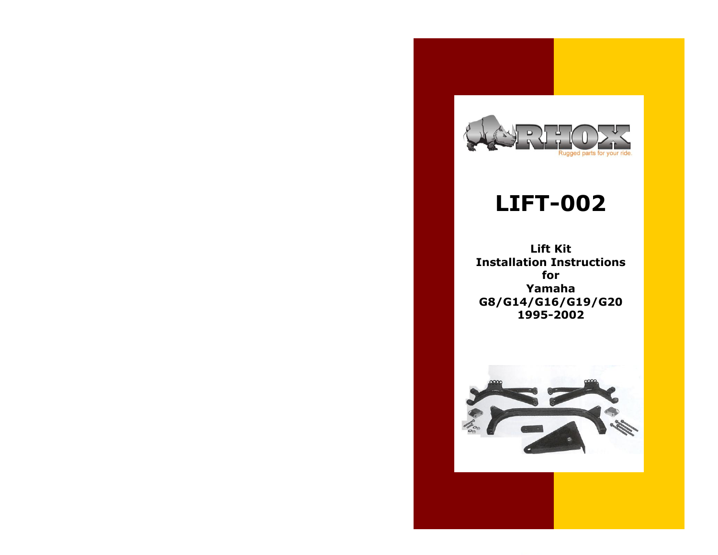

## **LIFT-002**

**Lift Kit Installation Instructions for Yamaha G8/G14/G16/G19/G20 1995-2002**